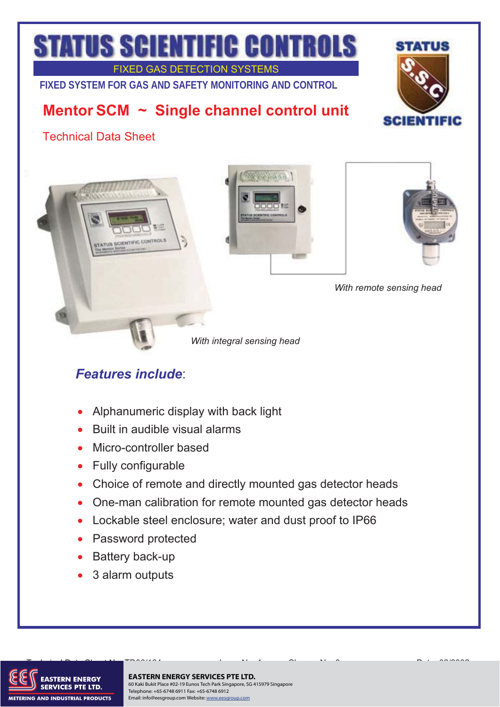# **STATUS SCIENTIFIC CONTROLS**

FIXED GAS DETECTION SYSTEMS **FIXED SYSTEM FOR GAS AND SAFETY MONITORING AND CONTROL** 

## **Mentor SCM ~ Single channel control unit**



Technical Data Sheet







*With remote sensing head* 

*With integral sensing head* 

## *Features include*:

- $\bullet$ Alphanumeric display with back light
- $\bullet$ Built in audible visual alarms
- $\bullet$ Micro-controller based
- $\bullet$ Fully configurable
- $\bullet$ Choice of remote and directly mounted gas detector heads
- $\bullet$ One-man calibration for remote mounted gas detector heads
- Lockable steel enclosure; water and dust proof to IP66
- Password protected
- Battery back-up  $\bullet$
- $\bullet$ 3 alarm outputs



### **EASTERN ENERGY SERVICES PTE LTD.**

60 Kaki Bukit Place #02-19 Eunos Tech Park Singapore, SG 415979 Singapore Telephone: +65-6748 6911 Fax: +65-6748 6912 Email: info@eesgroup.com Website: www.eesgroup.com